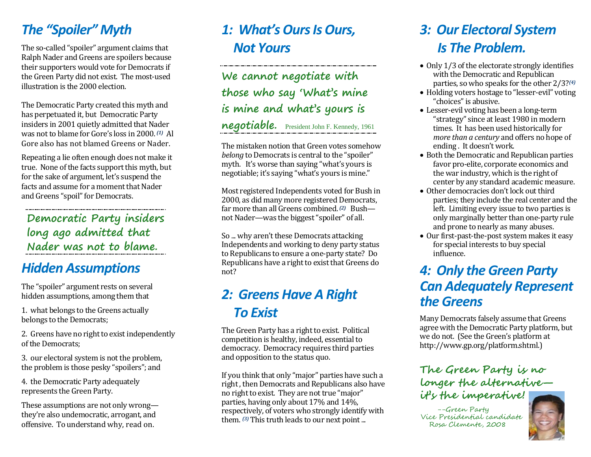## *The "Spoiler" Myth*

The so-called "spoiler" argument claims that Ralph Nader and Greens are spoilers because their supporters would vote for Democrats if the Green Party did not exist. The most-used illustration is the 2000 election.

The Democratic Party created this myth and has perpetuated it, but Democratic Party insiders in 2001 quietly admitted that Nader was not to blame for Gore's loss in 2000. *(1)* Al Gore also has not blamed Greens or Nader.

Repeating a lie often enough does not make it true. None of the facts support this myth, but for the sake of argument, let's suspend the facts and assume for a moment that Nader and Greens "spoil" for Democrats.

**Democratic Party insiders long ago admitted that Nader was not to blame.**

## *Hidden Assumptions*

The "spoiler" argument rests on several hidden assumptions, among them that

1. what belongs to the Greens actually belongs to the Democrats;

2. Greens have no right to exist independently of the Democrats;

3. our electoral system is not the problem, the problem is those pesky "spoilers"; and

4. the Democratic Party adequately represents the Green Party.

These assumptions are not only wrong they're also undemocratic, arrogant, and offensive. To understand why, read on.

## *1: What's Ours Is Ours, Not Yours*

**We cannot negotiate with those who say 'What's mine is mine and what's yours is** 

**negotiable.** President John F. Kennedy, <sup>1961</sup>

The mistaken notion that Green votes somehow *belong* to Democrats is central to the "spoiler" myth. It's worse than saying "what's yours is negotiable; it's saying "what's yours is mine."

Most registered Independents voted for Bush in 2000, as did many more registered Democrats, far more than all Greens combined.<sup>(2)</sup> Bushnot Nader—was the biggest "spoiler" of all.

So ... why aren't these Democrats attacking Independents and working to deny party status to Republicans to ensure a one-party state? Do Republicans have a right to exist that Greens do not?

## *2: Greens Have A Right To Exist*

The Green Party has a right to exist. Political competition is healthy, indeed, essential to democracy. Democracy requires third parties and opposition to the status quo.

If you think that only "major" parties have such a right , then Democrats and Republicans also have no right to exist. They are not true "major" parties, having only about 17% and 14%, respectively, of voters who strongly identify with them. *(3)* This truth leads to our next point ...

## *3: Our Electoral System Is The Problem.*

- Only 1/3 of the electorate strongly identifies with the Democratic and Republican parties, so who speaks for the other 2/3?*(4)*
- Holding voters hostage to "lesser-evil" voting "choices" is abusive.
- Lesser-evil voting has been a long-term "strategy" since at least 1980 in modern times. It has been used historically for *more than a century* and offers no hope of ending . It doesn't work.
- Both the Democratic and Republican parties favor pro-elite, corporate economics and the war industry, which is the right of center by any standard academic measure.
- Other democracies don't lock out third parties; they include the real center and the left. Limiting every issue to two parties is only marginally better than one-party rule and prone to nearly as many abuses.
- Our first-past-the-post system makes it easy for special interests to buy special influence.

## *4: Only the Green Party Can Adequately Represent the Greens*

Many Democrats falsely assume that Greens agree with the Democratic Party platform, but we do not. (See the Green's platform at http://www.gp.org/platform.shtml.)

#### **The Green Party is no longer the alternative it's the imperative!**

--Green Party Vice Presidential candidate Rosa Clemente, 2008